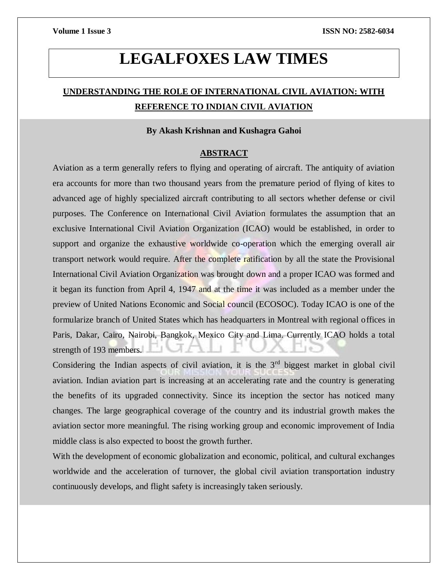# **LEGALFOXES LAW TIMES**

# **UNDERSTANDING THE ROLE OF INTERNATIONAL CIVIL AVIATION: WITH REFERENCE TO INDIAN CIVIL AVIATION**

### **By Akash Krishnan and Kushagra Gahoi**

### **ABSTRACT**

Aviation as a term generally refers to flying and operating of aircraft. The antiquity of aviation era accounts for more than two thousand years from the premature period of flying of kites to advanced age of highly specialized aircraft contributing to all sectors whether defense or civil purposes. The Conference on International Civil Aviation formulates the assumption that an exclusive International Civil Aviation Organization (ICAO) would be established, in order to support and organize the exhaustive worldwide co-operation which the emerging overall air transport network would require. After the complete ratification by all the state the Provisional International Civil Aviation Organization was brought down and a proper ICAO was formed and it began its function from April 4, 1947 and at the time it was included as a member under the preview of United Nations Economic and Social council (ECOSOC). Today ICAO is one of the formularize branch of United States which has headquarters in Montreal with regional offices in Paris, Dakar, Cairo, Nairobi, Bangkok, Mexico City and Lima. Currently ICAO holds a total strength of 193 members.

Considering the Indian aspects of civil aviation, it is the  $3<sup>rd</sup>$  biggest market in global civil aviation. Indian aviation part is increasing at an accelerating rate and the country is generating the benefits of its upgraded connectivity. Since its inception the sector has noticed many changes. The large geographical coverage of the country and its industrial growth makes the aviation sector more meaningful. The rising working group and economic improvement of India middle class is also expected to boost the growth further.

With the development of economic globalization and economic, political, and cultural exchanges worldwide and the acceleration of turnover, the global civil aviation transportation industry continuously develops, and flight safety is increasingly taken seriously.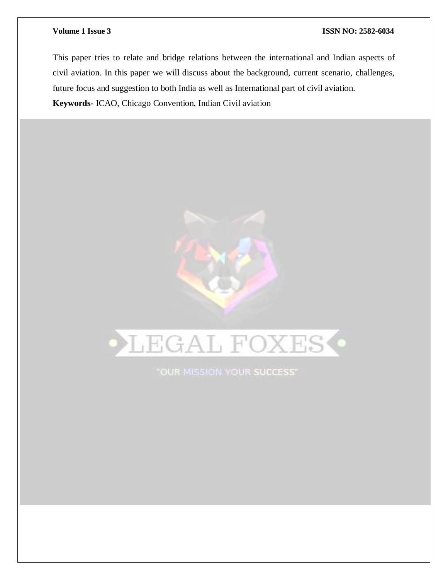This paper tries to relate and bridge relations between the international and Indian aspects of civil aviation. In this paper we will discuss about the background, current scenario, challenges, future focus and suggestion to both India as well as International part of civil aviation. **Keywords-** ICAO, Chicago Convention, Indian Civil aviation



"OUR MISSION YOUR SUCCESS"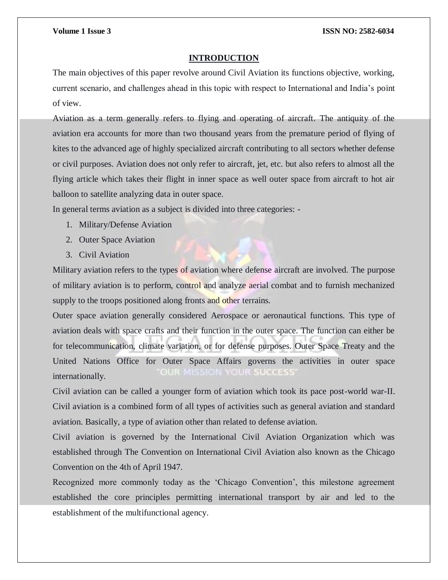#### **INTRODUCTION**

The main objectives of this paper revolve around Civil Aviation its functions objective, working, current scenario, and challenges ahead in this topic with respect to International and India's point of view.

Aviation as a term generally refers to flying and operating of aircraft. The antiquity of the aviation era accounts for more than two thousand years from the premature period of flying of kites to the advanced age of highly specialized aircraft contributing to all sectors whether defense or civil purposes. Aviation does not only refer to aircraft, jet, etc. but also refers to almost all the flying article which takes their flight in inner space as well outer space from aircraft to hot air balloon to satellite analyzing data in outer space.

In general terms aviation as a subject is divided into three categories: -

- 1. Military/Defense Aviation
- 2. Outer Space Aviation
- 3. Civil Aviation

Military aviation refers to the types of aviation where defense aircraft are involved. The purpose of military aviation is to perform, control and analyze aerial combat and to furnish mechanized supply to the troops positioned along fronts and other terrains.

Outer space aviation generally considered Aerospace or aeronautical functions. This type of aviation deals with space crafts and their function in the outer space. The function can either be for telecommunication, climate variation, or for defense purposes. Outer Space Treaty and the United Nations Office for Outer Space Affairs governs the activities in outer space  $0.017$ internationally.

Civil aviation can be called a younger form of aviation which took its pace post-world war-II. Civil aviation is a combined form of all types of activities such as general aviation and standard aviation. Basically, a type of aviation other than related to defense aviation.

Civil aviation is governed by the International Civil Aviation Organization which was established through The Convention on International Civil Aviation also known as the Chicago Convention on the 4th of April 1947.

Recognized more commonly today as the 'Chicago Convention', this milestone agreement established the core principles permitting international transport by air and led to the establishment of the multifunctional agency.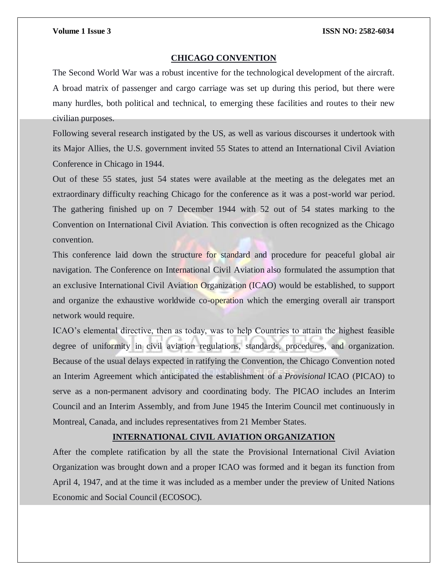#### **CHICAGO CONVENTION**

The Second World War was a robust incentive for the technological development of the aircraft. A broad matrix of passenger and cargo carriage was set up during this period, but there were many hurdles, both political and technical, to emerging these facilities and routes to their new civilian purposes.

Following several research instigated by the US, as well as various discourses it undertook with its Major Allies, the U.S. government invited 55 States to attend an International Civil Aviation Conference in Chicago in 1944.

Out of these 55 states, just 54 states were available at the meeting as the delegates met an extraordinary difficulty reaching Chicago for the conference as it was a post-world war period. The gathering finished up on 7 December 1944 with 52 out of 54 states marking to the Convention on International Civil Aviation. This convection is often recognized as the Chicago convention.

This conference laid down the structure for standard and procedure for peaceful global air navigation. The Conference on International Civil Aviation also formulated the assumption that an exclusive International Civil Aviation Organization (ICAO) would be established, to support and organize the exhaustive worldwide co-operation which the emerging overall air transport network would require.

ICAO's elemental directive, then as today, was to help Countries to attain the highest feasible degree of uniformity in civil aviation regulations, standards, procedures, and organization. Because of the usual delays expected in ratifying the Convention, the Chicago Convention noted an Interim Agreement which anticipated the establishment of a *Provisional* ICAO (PICAO) to serve as a non-permanent advisory and coordinating body. The PICAO includes an Interim Council and an Interim Assembly, and from June 1945 the Interim Council met continuously in Montreal, Canada, and includes representatives from 21 Member States.

### **INTERNATIONAL CIVIL AVIATION ORGANIZATION**

After the complete ratification by all the state the Provisional International Civil Aviation Organization was brought down and a proper ICAO was formed and it began its function from April 4, 1947, and at the time it was included as a member under the preview of United Nations Economic and Social Council (ECOSOC).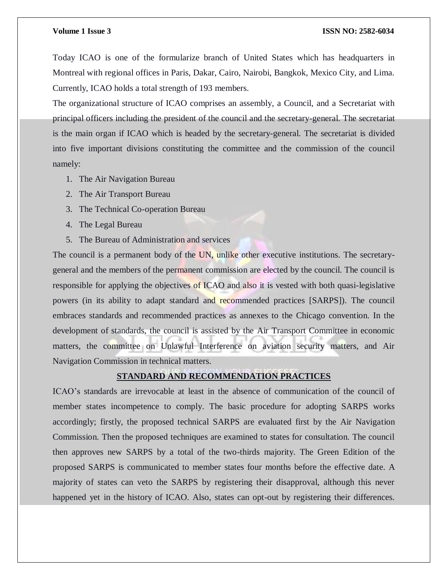Today ICAO is one of the formularize branch of United States which has headquarters in Montreal with regional offices in Paris, Dakar, Cairo, Nairobi, Bangkok, Mexico City, and Lima. Currently, ICAO holds a total strength of 193 members.

The organizational structure of ICAO comprises an assembly, a Council, and a Secretariat with principal officers including the president of the council and the secretary-general. The secretariat is the main organ if ICAO which is headed by the secretary-general. The secretariat is divided into five important divisions constituting the committee and the commission of the council namely:

- 1. The Air Navigation Bureau
- 2. The Air Transport Bureau
- 3. The Technical Co-operation Bureau
- 4. The Legal Bureau
- 5. The Bureau of Administration and services

The council is a permanent body of the UN, unlike other executive institutions. The secretarygeneral and the members of the permanent commission are elected by the council. The council is responsible for applying the objectives of ICAO and also it is vested with both quasi-legislative powers (in its ability to adapt standard and recommended practices [SARPS]). The council embraces standards and recommended practices as annexes to the Chicago convention. In the development of standards, the council is assisted by the Air Transport Committee in economic matters, the committee on Unlawful Interference on aviation security matters, and Air Navigation Commission in technical matters.

### **STANDARD AND RECOMMENDATION PRACTICES**

ICAO's standards are irrevocable at least in the absence of communication of the council of member states incompetence to comply. The basic procedure for adopting SARPS works accordingly; firstly, the proposed technical SARPS are evaluated first by the Air Navigation Commission. Then the proposed techniques are examined to states for consultation. The council then approves new SARPS by a total of the two-thirds majority. The Green Edition of the proposed SARPS is communicated to member states four months before the effective date. A majority of states can veto the SARPS by registering their disapproval, although this never happened yet in the history of ICAO. Also, states can opt-out by registering their differences.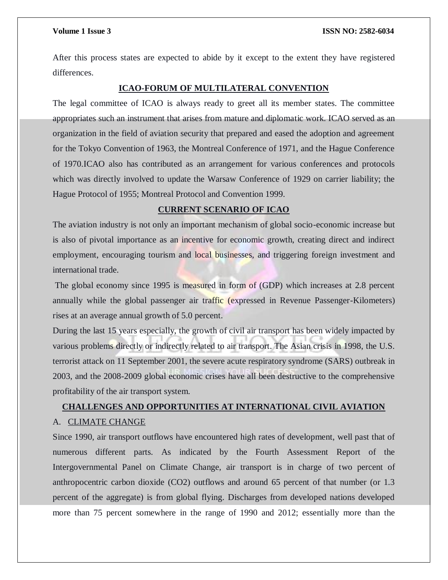After this process states are expected to abide by it except to the extent they have registered differences.

#### **ICAO-FORUM OF MULTILATERAL CONVENTION**

The legal committee of ICAO is always ready to greet all its member states. The committee appropriates such an instrument that arises from mature and diplomatic work. ICAO served as an organization in the field of aviation security that prepared and eased the adoption and agreement for the Tokyo Convention of 1963, the Montreal Conference of 1971, and the Hague Conference of 1970.ICAO also has contributed as an arrangement for various conferences and protocols which was directly involved to update the Warsaw Conference of 1929 on carrier liability; the Hague Protocol of 1955; Montreal Protocol and Convention 1999.

### **CURRENT SCENARIO OF ICAO**

The aviation industry is not only an important mechanism of global socio-economic increase but is also of pivotal importance as an incentive for economic growth, creating direct and indirect employment, encouraging tourism and local businesses, and triggering foreign investment and international trade.

The global economy since 1995 is measured in form of (GDP) which increases at 2.8 percent annually while the global passenger air traffic (expressed in Revenue Passenger-Kilometers) rises at an average annual growth of 5.0 percent.

During the last 15 years especially, the growth of civil air transport has been widely impacted by various problems directly or indirectly related to air transport. The Asian crisis in 1998, the U.S. terrorist attack on 11 September 2001, the severe acute respiratory syndrome (SARS) outbreak in 2003, and the 2008-2009 global economic crises have all been destructive to the comprehensive profitability of the air transport system.

# **CHALLENGES AND OPPORTUNITIES AT INTERNATIONAL CIVIL AVIATION** A. CLIMATE CHANGE

Since 1990, air transport outflows have encountered high rates of development, well past that of numerous different parts. As indicated by the Fourth Assessment Report of the Intergovernmental Panel on Climate Change, air transport is in charge of two percent of anthropocentric carbon dioxide (CO2) outflows and around 65 percent of that number (or 1.3 percent of the aggregate) is from global flying. Discharges from developed nations developed more than 75 percent somewhere in the range of 1990 and 2012; essentially more than the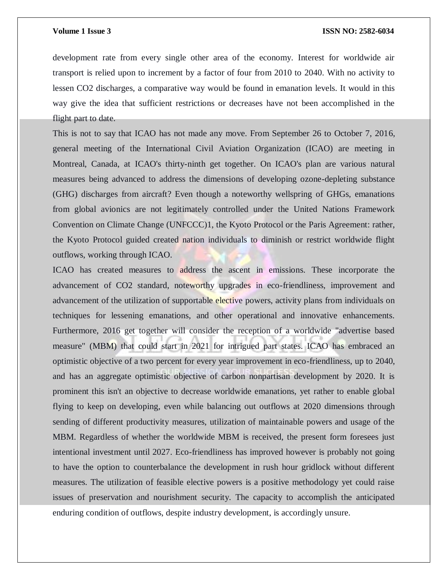development rate from every single other area of the economy. Interest for worldwide air transport is relied upon to increment by a factor of four from 2010 to 2040. With no activity to lessen CO2 discharges, a comparative way would be found in emanation levels. It would in this way give the idea that sufficient restrictions or decreases have not been accomplished in the flight part to date.

This is not to say that ICAO has not made any move. From September 26 to October 7, 2016, general meeting of the International Civil Aviation Organization (ICAO) are meeting in Montreal, Canada, at ICAO's thirty-ninth get together. On ICAO's plan are various natural measures being advanced to address the dimensions of developing ozone-depleting substance (GHG) discharges from aircraft? Even though a noteworthy wellspring of GHGs, emanations from global avionics are not legitimately controlled under the United Nations Framework Convention on Climate Change (UNFCCC)1, the Kyoto Protocol or the Paris Agreement: rather, the Kyoto Protocol guided created nation individuals to diminish or restrict worldwide flight outflows, working through ICAO.

ICAO has created measures to address the ascent in emissions. These incorporate the advancement of CO2 standard, noteworthy upgrades in eco-friendliness, improvement and advancement of the utilization of supportable elective powers, activity plans from individuals on techniques for lessening emanations, and other operational and innovative enhancements. Furthermore, 2016 get together will consider the reception of a worldwide "advertise based measure" (MBM) that could start in 2021 for intrigued part states. ICAO has embraced an optimistic objective of a two percent for every year improvement in eco-friendliness, up to 2040, and has an aggregate optimistic objective of carbon nonpartisan development by 2020. It is prominent this isn't an objective to decrease worldwide emanations, yet rather to enable global flying to keep on developing, even while balancing out outflows at 2020 dimensions through sending of different productivity measures, utilization of maintainable powers and usage of the MBM. Regardless of whether the worldwide MBM is received, the present form foresees just intentional investment until 2027. Eco-friendliness has improved however is probably not going to have the option to counterbalance the development in rush hour gridlock without different measures. The utilization of feasible elective powers is a positive methodology yet could raise issues of preservation and nourishment security. The capacity to accomplish the anticipated enduring condition of outflows, despite industry development, is accordingly unsure.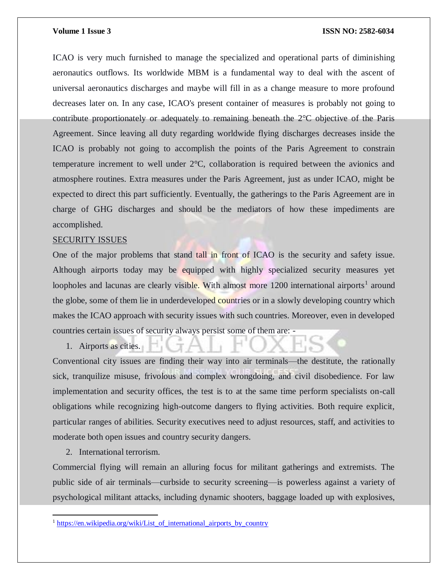ICAO is very much furnished to manage the specialized and operational parts of diminishing aeronautics outflows. Its worldwide MBM is a fundamental way to deal with the ascent of universal aeronautics discharges and maybe will fill in as a change measure to more profound decreases later on. In any case, ICAO's present container of measures is probably not going to contribute proportionately or adequately to remaining beneath the 2°C objective of the Paris Agreement. Since leaving all duty regarding worldwide flying discharges decreases inside the ICAO is probably not going to accomplish the points of the Paris Agreement to constrain temperature increment to well under 2°C, collaboration is required between the avionics and atmosphere routines. Extra measures under the Paris Agreement, just as under ICAO, might be expected to direct this part sufficiently. Eventually, the gatherings to the Paris Agreement are in charge of GHG discharges and should be the mediators of how these impediments are accomplished.

#### SECURITY ISSUES

One of the major problems that stand tall in front of ICAO is the security and safety issue. Although airports today may be equipped with highly specialized security measures yet loopholes and lacunas are clearly visible. With almost more 1200 international airports<sup>1</sup> around the globe, some of them lie in underdeveloped countries or in a slowly developing country which makes the ICAO approach with security issues with such countries. Moreover, even in developed countries certain issues of security always persist some of them are: -

1. Airports as cities.

Conventional city issues are finding their way into air terminals—the destitute, the rationally sick, tranquilize misuse, frivolous and complex wrongdoing, and civil disobedience. For law implementation and security offices, the test is to at the same time perform specialists on-call obligations while recognizing high-outcome dangers to flying activities. Both require explicit, particular ranges of abilities. Security executives need to adjust resources, staff, and activities to moderate both open issues and country security dangers.

2. International terrorism.

 $\overline{a}$ 

Commercial flying will remain an alluring focus for militant gatherings and extremists. The public side of air terminals—curbside to security screening—is powerless against a variety of psychological militant attacks, including dynamic shooters, baggage loaded up with explosives,

<sup>&</sup>lt;sup>1</sup> https://en.wikipedia.org/wiki/List of international airports by country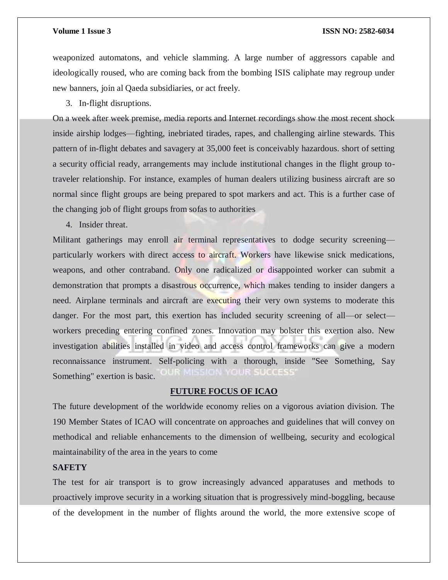weaponized automatons, and vehicle slamming. A large number of aggressors capable and ideologically roused, who are coming back from the bombing ISIS caliphate may regroup under new banners, join al Qaeda subsidiaries, or act freely.

3. In-flight disruptions.

On a week after week premise, media reports and Internet recordings show the most recent shock inside airship lodges—fighting, inebriated tirades, rapes, and challenging airline stewards. This pattern of in-flight debates and savagery at 35,000 feet is conceivably hazardous. short of setting a security official ready, arrangements may include institutional changes in the flight group totraveler relationship. For instance, examples of human dealers utilizing business aircraft are so normal since flight groups are being prepared to spot markers and act. This is a further case of the changing job of flight groups from sofas to authorities

4. Insider threat.

Militant gatherings may enroll air terminal representatives to dodge security screening particularly workers with direct access to aircraft. Workers have likewise snick medications, weapons, and other contraband. Only one radicalized or disappointed worker can submit a demonstration that prompts a disastrous occurrence, which makes tending to insider dangers a need. Airplane terminals and aircraft are executing their very own systems to moderate this danger. For the most part, this exertion has included security screening of all—or select workers preceding entering confined zones. Innovation may bolster this exertion also. New investigation abilities installed in video and access control frameworks can give a modern reconnaissance instrument. Self-policing with a thorough, inside "See Something, Say **LO ILLES AND IN RESEARCH** Something" exertion is basic.

#### **FUTURE FOCUS OF ICAO**

The future development of the worldwide economy relies on a vigorous aviation division. The 190 Member States of ICAO will concentrate on approaches and guidelines that will convey on methodical and reliable enhancements to the dimension of wellbeing, security and ecological maintainability of the area in the years to come

### **SAFETY**

The test for air transport is to grow increasingly advanced apparatuses and methods to proactively improve security in a working situation that is progressively mind-boggling, because of the development in the number of flights around the world, the more extensive scope of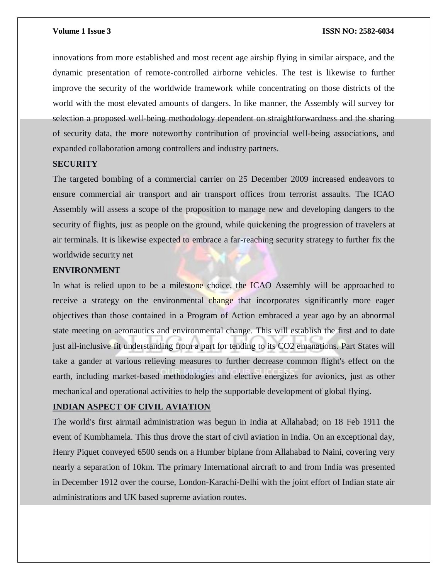innovations from more established and most recent age airship flying in similar airspace, and the dynamic presentation of remote-controlled airborne vehicles. The test is likewise to further improve the security of the worldwide framework while concentrating on those districts of the world with the most elevated amounts of dangers. In like manner, the Assembly will survey for selection a proposed well-being methodology dependent on straightforwardness and the sharing of security data, the more noteworthy contribution of provincial well-being associations, and expanded collaboration among controllers and industry partners.

### **SECURITY**

The targeted bombing of a commercial carrier on 25 December 2009 increased endeavors to ensure commercial air transport and air transport offices from terrorist assaults. The ICAO Assembly will assess a scope of the proposition to manage new and developing dangers to the security of flights, just as people on the ground, while quickening the progression of travelers at air terminals. It is likewise expected to embrace a far-reaching security strategy to further fix the worldwide security net

### **ENVIRONMENT**

In what is relied upon to be a milestone choice, the ICAO Assembly will be approached to receive a strategy on the environmental change that incorporates significantly more eager objectives than those contained in a Program of Action embraced a year ago by an abnormal state meeting on aeronautics and environmental change. This will establish the first and to date just all-inclusive fit understanding from a part for tending to its CO2 emanations. Part States will take a gander at various relieving measures to further decrease common flight's effect on the earth, including market-based methodologies and elective energizes for avionics, just as other mechanical and operational activities to help the supportable development of global flying.

### **INDIAN ASPECT OF CIVIL AVIATION**

The world's first airmail administration was begun in India at Allahabad; on 18 Feb 1911 the event of Kumbhamela. This thus drove the start of civil aviation in India. On an exceptional day, Henry Piquet conveyed 6500 sends on a Humber biplane from Allahabad to Naini, covering very nearly a separation of 10km. The primary International aircraft to and from India was presented in December 1912 over the course, London-Karachi-Delhi with the joint effort of Indian state air administrations and UK based supreme aviation routes.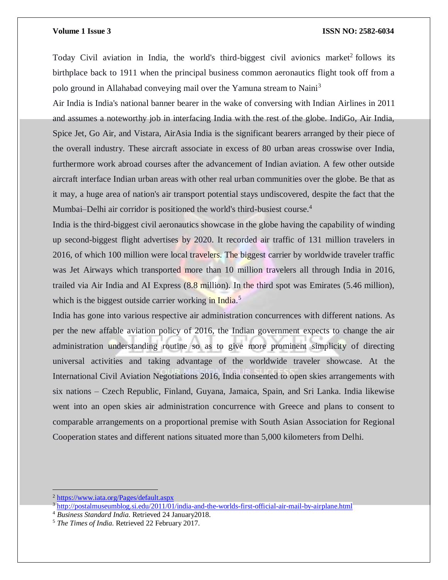Today Civil aviation in India, the world's third-biggest civil avionics market<sup>2</sup> follows its birthplace back to 1911 when the principal business common aeronautics flight took off from a polo ground in Allahabad conveying mail over the Yamuna stream to Naini<sup>3</sup>

Air India is India's national banner bearer in the wake of conversing with Indian Airlines in 2011 and assumes a noteworthy job in interfacing India with the rest of the globe. IndiGo, Air India, Spice Jet, Go Air, and Vistara, AirAsia India is the significant bearers arranged by their piece of the overall industry. These aircraft associate in excess of 80 urban areas crosswise over India, furthermore work abroad courses after the advancement of Indian aviation. A few other outside aircraft interface Indian urban areas with other real urban communities over the globe. Be that as it may, a huge area of nation's air transport potential stays undiscovered, despite the fact that the Mumbai–Delhi air corridor is positioned the world's third-busiest course.<sup>4</sup>

India is the third-biggest civil aeronautics showcase in the globe having the capability of winding up second-biggest flight advertises by 2020. It recorded air traffic of 131 million travelers in 2016, of which 100 million were local travelers. The biggest carrier by worldwide traveler traffic was Jet Airways which transported more than 10 million travelers all through India in 2016, trailed via Air India and AI Express (8.8 million). In the third spot was Emirates (5.46 million), which is the biggest outside carrier working in India.<sup>5</sup>

India has gone into various respective air administration concurrences with different nations. As per the new affable aviation policy of 2016, the Indian government expects to change the air administration understanding routine so as to give more prominent simplicity of directing universal activities and taking advantage of the worldwide traveler showcase. At the International Civil Aviation Negotiations 2016, India consented to open skies arrangements with six nations – Czech Republic, Finland, Guyana, Jamaica, Spain, and Sri Lanka. India likewise went into an open skies air administration concurrence with Greece and plans to consent to comparable arrangements on a proportional premise with South Asian Association for Regional Cooperation states and different nations situated more than 5,000 kilometers from Delhi.

 $\overline{a}$ 

<sup>&</sup>lt;sup>2</sup> <https://www.iata.org/Pages/default.aspx>

<sup>&</sup>lt;sup>3</sup> <http://postalmuseumblog.si.edu/2011/01/india-and-the-worlds-first-official-air-mail-by-airplane.html>

<sup>4</sup> *Business Standard India*. Retrieved 24 January2018.

<sup>5</sup> *The Times of India*. Retrieved 22 February 2017.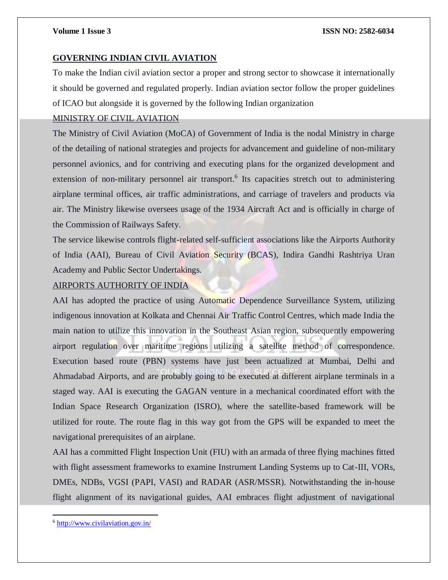### **GOVERNING INDIAN CIVIL AVIATION**

To make the Indian civil aviation sector a proper and strong sector to showcase it internationally it should be governed and regulated properly. Indian aviation sector follow the proper guidelines of ICAO but alongside it is governed by the following Indian organization

### MINISTRY OF CIVIL AVIATION

The Ministry of Civil Aviation (MoCA) of Government of India is the nodal Ministry in charge of the detailing of national strategies and projects for advancement and guideline of non-military personnel avionics, and for contriving and executing plans for the organized development and extension of non-military personnel air transport.<sup>6</sup> Its capacities stretch out to administering airplane terminal offices, air traffic administrations, and carriage of travelers and products via air. The Ministry likewise oversees usage of the 1934 Aircraft Act and is officially in charge of the Commission of Railways Safety.

The service likewise controls flight-related self-sufficient associations like the Airports Authority of India (AAI), Bureau of Civil Aviation Security (BCAS), Indira Gandhi Rashtriya Uran Academy and Public Sector Undertakings.

### AIRPORTS AUTHORITY OF INDIA

AAI has adopted the practice of using Automatic Dependence Surveillance System, utilizing indigenous innovation at Kolkata and Chennai Air Traffic Control Centres, which made India the main nation to utilize this innovation in the Southeast Asian region, subsequently empowering airport regulation over maritime regions utilizing a satellite method of correspondence. Execution based route (PBN) systems have just been actualized at Mumbai, Delhi and Ahmadabad Airports, and are probably going to be executed at different airplane terminals in a staged way. AAI is executing the GAGAN venture in a mechanical coordinated effort with the Indian Space Research Organization (ISRO), where the satellite-based framework will be utilized for route. The route flag in this way got from the GPS will be expanded to meet the navigational prerequisites of an airplane.

AAI has a committed Flight Inspection Unit (FIU) with an armada of three flying machines fitted with flight assessment frameworks to examine Instrument Landing Systems up to Cat-III, VORs, DMEs, NDBs, VGSI (PAPI, VASI) and RADAR (ASR/MSSR). Notwithstanding the in-house flight alignment of its navigational guides, AAI embraces flight adjustment of navigational

 $\overline{a}$ <sup>6</sup> <http://www.civilaviation.gov.in/>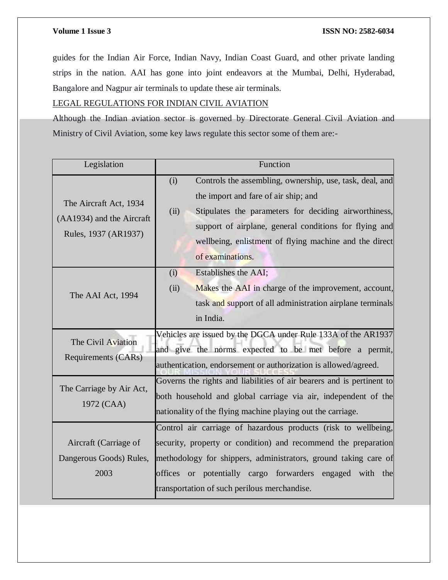guides for the Indian Air Force, Indian Navy, Indian Coast Guard, and other private landing strips in the nation. AAI has gone into joint endeavors at the Mumbai, Delhi, Hyderabad, Bangalore and Nagpur air terminals to update these air terminals.

## LEGAL REGULATIONS FOR INDIAN CIVIL AVIATION

Although the Indian aviation sector is governed by Directorate General Civil Aviation and Ministry of Civil Aviation, some key laws regulate this sector some of them are:-

| Legislation                                                                 | Function                                                                                                                                                                                                                                                                                                           |
|-----------------------------------------------------------------------------|--------------------------------------------------------------------------------------------------------------------------------------------------------------------------------------------------------------------------------------------------------------------------------------------------------------------|
| The Aircraft Act, 1934<br>(AA1934) and the Aircraft<br>Rules, 1937 (AR1937) | Controls the assembling, ownership, use, task, deal, and<br>(i)<br>the import and fare of air ship; and<br>(ii)<br>Stipulates the parameters for deciding airworthiness,<br>support of airplane, general conditions for flying and<br>wellbeing, enlistment of flying machine and the direct                       |
| The AAI Act, 1994                                                           | of examinations.<br>Establishes the AAI;<br>(i)<br>Makes the AAI in charge of the improvement, account,<br>(ii)<br>task and support of all administration airplane terminals<br>in India.                                                                                                                          |
| The Civil Aviation<br>Requirements (CARs)                                   | Vehicles are issued by the DGCA under Rule 133A of the AR1937<br>and give the norms expected to be met before a permit,<br>authentication, endorsement or authorization is allowed/agreed.                                                                                                                         |
| The Carriage by Air Act,<br>1972 (CAA)                                      | Governs the rights and liabilities of air bearers and is pertinent to<br>both household and global carriage via air, independent of the<br>nationality of the flying machine playing out the carriage.                                                                                                             |
| Aircraft (Carriage of<br>Dangerous Goods) Rules,<br>2003                    | Control air carriage of hazardous products (risk to wellbeing,<br>security, property or condition) and recommend the preparation<br>methodology for shippers, administrators, ground taking care of<br>potentially cargo forwarders engaged with the<br>offices or<br>transportation of such perilous merchandise. |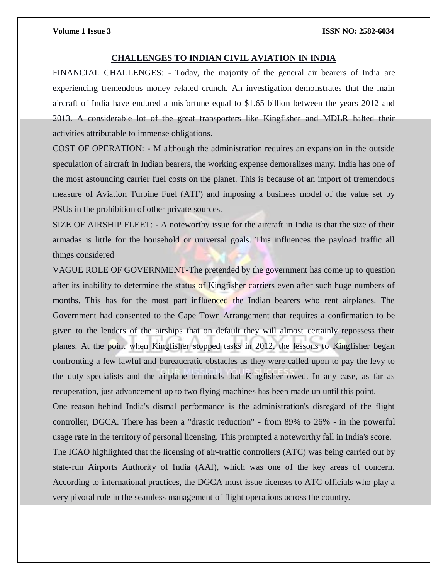#### **CHALLENGES TO INDIAN CIVIL AVIATION IN INDIA**

FINANCIAL CHALLENGES: - Today, the majority of the general air bearers of India are experiencing tremendous money related crunch. An investigation demonstrates that the main aircraft of India have endured a misfortune equal to \$1.65 billion between the years 2012 and 2013. A considerable lot of the great transporters like Kingfisher and MDLR halted their activities attributable to immense obligations.

COST OF OPERATION: - M although the administration requires an expansion in the outside speculation of aircraft in Indian bearers, the working expense demoralizes many. India has one of the most astounding carrier fuel costs on the planet. This is because of an import of tremendous measure of Aviation Turbine Fuel (ATF) and imposing a business model of the value set by PSUs in the prohibition of other private sources.

SIZE OF AIRSHIP FLEET: - A noteworthy issue for the aircraft in India is that the size of their armadas is little for the household or universal goals. This influences the payload traffic all things considered

VAGUE ROLE OF GOVERNMENT-The pretended by the government has come up to question after its inability to determine the status of Kingfisher carriers even after such huge numbers of months. This has for the most part influenced the Indian bearers who rent airplanes. The Government had consented to the Cape Town Arrangement that requires a confirmation to be given to the lenders of the airships that on default they will almost certainly repossess their planes. At the point when Kingfisher stopped tasks in 2012, the lessons to Kingfisher began confronting a few lawful and bureaucratic obstacles as they were called upon to pay the levy to the duty specialists and the airplane terminals that Kingfisher owed. In any case, as far as recuperation, just advancement up to two flying machines has been made up until this point. One reason behind India's dismal performance is the administration's disregard of the flight controller, DGCA. There has been a "drastic reduction" - from 89% to 26% - in the powerful usage rate in the territory of personal licensing. This prompted a noteworthy fall in India's score.

The ICAO highlighted that the licensing of air-traffic controllers (ATC) was being carried out by state-run Airports Authority of India (AAI), which was one of the key areas of concern. According to international practices, the DGCA must issue licenses to ATC officials who play a very pivotal role in the seamless management of flight operations across the country.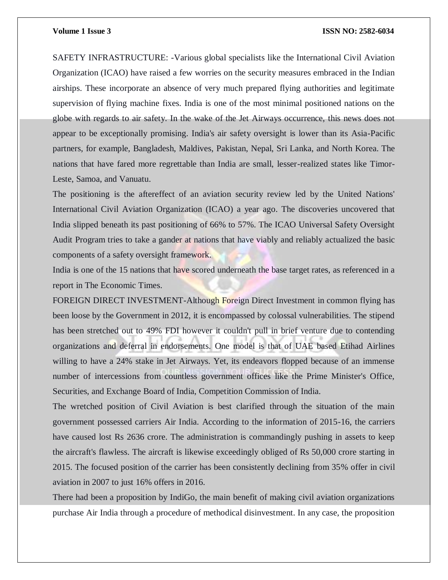SAFETY INFRASTRUCTURE: -Various global specialists like the International Civil Aviation Organization (ICAO) have raised a few worries on the security measures embraced in the Indian airships. These incorporate an absence of very much prepared flying authorities and legitimate supervision of flying machine fixes. India is one of the most minimal positioned nations on the globe with regards to air safety. In the wake of the Jet Airways occurrence, this news does not appear to be exceptionally promising. India's air safety oversight is lower than its Asia-Pacific partners, for example, Bangladesh, Maldives, Pakistan, Nepal, Sri Lanka, and North Korea. The nations that have fared more regrettable than India are small, lesser-realized states like Timor-Leste, Samoa, and Vanuatu.

The positioning is the aftereffect of an aviation security review led by the United Nations' International Civil Aviation Organization (ICAO) a year ago. The discoveries uncovered that India slipped beneath its past positioning of 66% to 57%. The ICAO Universal Safety Oversight Audit Program tries to take a gander at nations that have viably and reliably actualized the basic components of a safety oversight framework.

India is one of the 15 nations that have scored underneath the base target rates, as referenced in a report in The Economic Times.

FOREIGN DIRECT INVESTMENT-Although Foreign Direct Investment in common flying has been loose by the Government in 2012, it is encompassed by colossal vulnerabilities. The stipend has been stretched out to 49% FDI however it couldn't pull in brief venture due to contending organizations and deferral in endorsements. One model is that of UAE based Etihad Airlines willing to have a 24% stake in Jet Airways. Yet, its endeavors flopped because of an immense number of intercessions from countless government offices like the Prime Minister's Office, Securities, and Exchange Board of India, Competition Commission of India.

The wretched position of Civil Aviation is best clarified through the situation of the main government possessed carriers Air India. According to the information of 2015-16, the carriers have caused lost Rs 2636 crore. The administration is commandingly pushing in assets to keep the aircraft's flawless. The aircraft is likewise exceedingly obliged of Rs 50,000 crore starting in 2015. The focused position of the carrier has been consistently declining from 35% offer in civil aviation in 2007 to just 16% offers in 2016.

There had been a proposition by IndiGo, the main benefit of making civil aviation organizations purchase Air India through a procedure of methodical disinvestment. In any case, the proposition